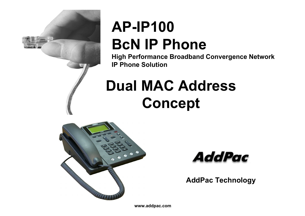

# **AP-IP100BcN IP Phone**

**High Performance Broadband Convergence Network IP Phone Solution**

# **Dual MAC AddressConcept**





**AddPac Technology**

**www.addpac.com**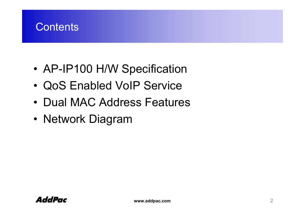

- •AP-IP100 H/W Specification
- •QoS Enabled VoIP Service
- Dual MAC Address Features
- Network Diagram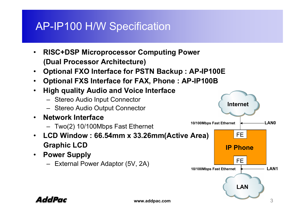## AP-IP100 H/W Specification

- • **RISC+DSP Microprocessor Computing Power (Dual Processor Architecture)**
- •**Optional FXO Interface for PSTN Backup : AP-IP100E**
- $\bullet$ **Optional FXS Interface for FAX, Phone : AP-IP100B**
- $\bullet$  **High quality Audio and Voice Interface**
	- Stereo Audio Input Connector
	- Stereo Audio Output Connector
- • **Network Interface**
	- Two(2) 10/100Mbps Fast Ethernet
- $\bullet$  **LCD Window : 66.54mm x 33.26mm(Active Area) Graphic LCD**
- **Power Supply**
	- External Power Adaptor (5V, 2A)

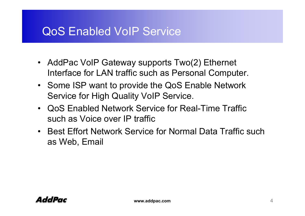#### QoS Enabled VoIP Service

- AddPac VoIP Gateway supports Two(2) Ethernet Interface for LAN traffic such as Personal Computer.
- Some ISP want to provide the QoS Enable Network Service for High Quality VoIP Service.
- QoS Enabled Network Service for Real-Time Traffic such as Voice over IP traffic
- Best Effort Network Service for Normal Data Traffic such as Web, Email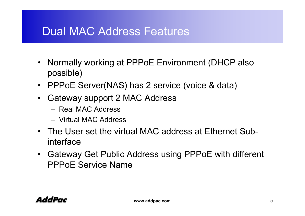#### Dual MAC Address Features

- Normally working at PPPoE Environment (DHCP also possible)
- PPPoE Server(NAS) has 2 service (voice & data)
- Gateway support 2 MAC Address
	- Real MAC Address
	- Virtual MAC Address
- The User set the virtual MAC address at Ethernet Subinterface
- Gateway Get Public Address using PPPoE with different PPPoE Service Name

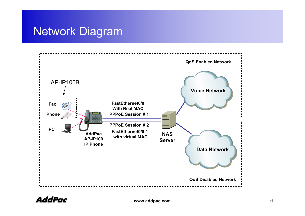## Network Diagram